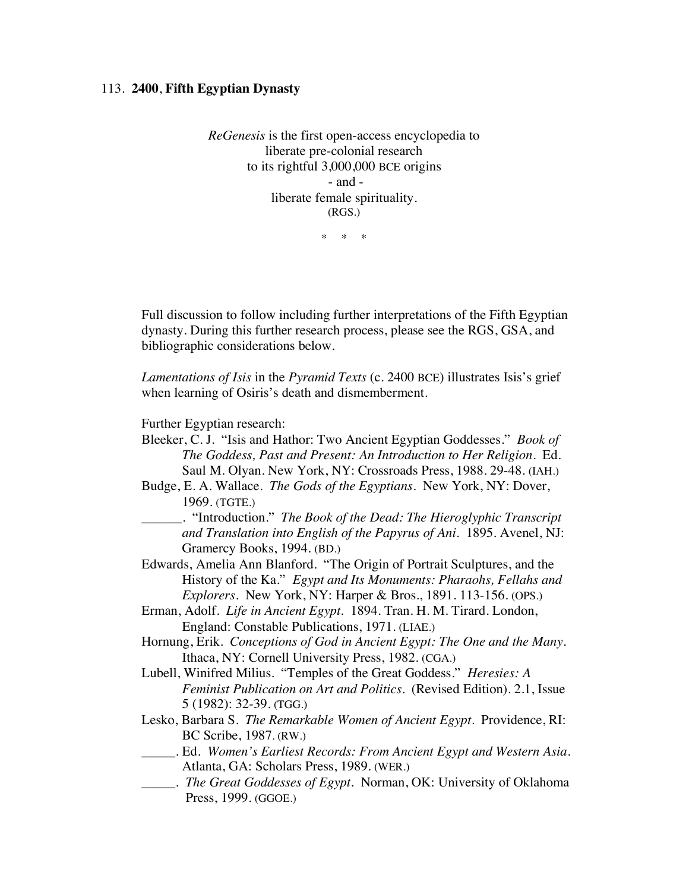## 113. **2400**, **Fifth Egyptian Dynasty**

*ReGenesis* is the first open-access encyclopedia to liberate pre-colonial research to its rightful 3,000,000 BCE origins - and liberate female spirituality. (RGS.)

\* \* \*

Full discussion to follow including further interpretations of the Fifth Egyptian dynasty. During this further research process, please see the RGS, GSA, and bibliographic considerations below.

*Lamentations of Isis* in the *Pyramid Texts* (c. 2400 BCE) illustrates Isis's grief when learning of Osiris's death and dismemberment.

Further Egyptian research:

- Bleeker, C. J. "Isis and Hathor: Two Ancient Egyptian Goddesses." *Book of The Goddess, Past and Present: An Introduction to Her Religion.* Ed. Saul M. Olyan. New York, NY: Crossroads Press, 1988. 29-48. (IAH.)
- Budge, E. A. Wallace. *The Gods of the Egyptians.* New York, NY: Dover, 1969. (TGTE.)
- \_\_\_\_\_\_. "Introduction." *The Book of the Dead: The Hieroglyphic Transcript and Translation into English of the Papyrus of Ani*. 1895. Avenel, NJ: Gramercy Books, 1994. (BD.)
- Edwards, Amelia Ann Blanford. "The Origin of Portrait Sculptures, and the History of the Ka." *Egypt and Its Monuments: Pharaohs, Fellahs and Explorers*. New York, NY: Harper & Bros., 1891. 113-156. (OPS.)
- Erman, Adolf. *Life in Ancient Egypt.* 1894. Tran. H. M. Tirard. London, England: Constable Publications, 1971. (LIAE.)
- Hornung, Erik. *Conceptions of God in Ancient Egypt: The One and the Many*. Ithaca, NY: Cornell University Press, 1982. (CGA.)
- Lubell, Winifred Milius. "Temples of the Great Goddess." *Heresies: A Feminist Publication on Art and Politics.* (Revised Edition). 2.1, Issue 5 (1982): 32-39. (TGG.)
- Lesko, Barbara S. *The Remarkable Women of Ancient Egypt*. Providence, RI: BC Scribe, 1987. (RW.)
- \_\_\_\_\_. Ed. *Women's Earliest Records: From Ancient Egypt and Western Asia*. Atlanta, GA: Scholars Press, 1989. (WER.)
- \_\_\_\_\_. *The Great Goddesses of Egypt*. Norman, OK: University of Oklahoma Press, 1999. (GGOE.)